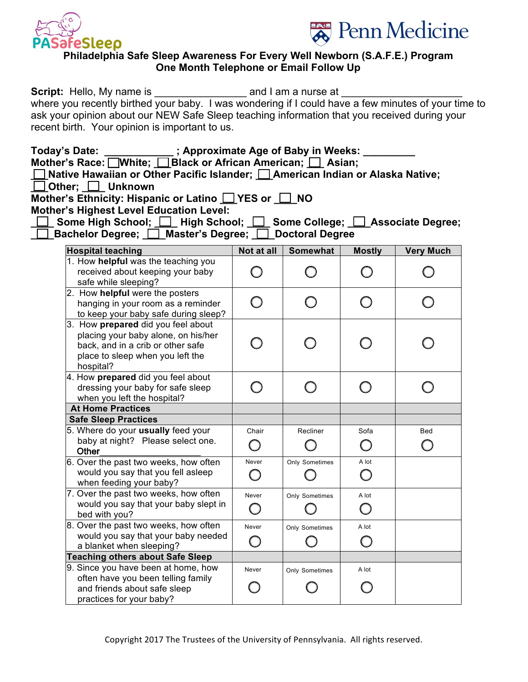



## **Philadelphia Safe Sleep Awareness For Every Well Newborn (S.A.F.E.) Program One Month Telephone or Email Follow Up**

| <b>Script:</b> Hello, My name is               | and I am a nurse at                                                                                 |
|------------------------------------------------|-----------------------------------------------------------------------------------------------------|
|                                                | where you recently birthed your baby. I was wondering if I could have a few minutes of your time to |
|                                                | ask your opinion about our NEW Safe Sleep teaching information that you received during your        |
| recent birth. Your opinion is important to us. |                                                                                                     |

| <b>Today's Date:</b> | ; Approximate Age of Baby in Weeks:                     |  |
|----------------------|---------------------------------------------------------|--|
|                      | Mother's Race: White: Black or African American: Asian: |  |

| $\frac{1}{2}$ Nave, $\frac{1}{2}$ in the $\frac{1}{2}$ $\frac{1}{2}$ black of Allivan Allier four, $\frac{1}{2}$ Actury |  |
|-------------------------------------------------------------------------------------------------------------------------|--|
| $\Box$ Native Hawaiian or Other Pacific Islander; $\Box$ American Indian or Alaska Native;                              |  |

| $\Box$ Other: | <b>Unknown</b> |
|---------------|----------------|
|---------------|----------------|

Mother's Ethnicity: Hispanic or Latino  $\Box$  YES or  $\Box$  NO

**Mother's Highest Level Education Level:** 

|                                                         |  | □ Some High School; □ High School; □ Some College; □ Associate Degree; |
|---------------------------------------------------------|--|------------------------------------------------------------------------|
| □ Bachelor Degree; □ Master's Degree; □ Doctoral Degree |  |                                                                        |

| <b>Hospital teaching</b>                                                                                                                                        | Not at all      | <b>Somewhat</b> | <b>Mostly</b> | <b>Very Much</b> |
|-----------------------------------------------------------------------------------------------------------------------------------------------------------------|-----------------|-----------------|---------------|------------------|
| 1. How helpful was the teaching you<br>received about keeping your baby<br>safe while sleeping?                                                                 |                 |                 |               |                  |
| 2. How helpful were the posters<br>hanging in your room as a reminder<br>to keep your baby safe during sleep?                                                   |                 |                 |               |                  |
| 3. How prepared did you feel about<br>placing your baby alone, on his/her<br>back, and in a crib or other safe<br>place to sleep when you left the<br>hospital? |                 |                 |               |                  |
| 4. How <b>prepared</b> did you feel about<br>dressing your baby for safe sleep<br>when you left the hospital?                                                   |                 |                 |               |                  |
| <b>At Home Practices</b>                                                                                                                                        |                 |                 |               |                  |
| <b>Safe Sleep Practices</b>                                                                                                                                     |                 |                 |               |                  |
| 5. Where do your usually feed your<br>baby at night? Please select one.<br>Other                                                                                | Chair<br>$\Box$ | Recliner        | Sofa          | <b>Bed</b>       |
| 6. Over the past two weeks, how often<br>would you say that you fell asleep<br>when feeding your baby?                                                          | Never           | Only Sometimes  | A lot         |                  |
| 7. Over the past two weeks, how often<br>would you say that your baby slept in<br>bed with you?                                                                 | Never           | Only Sometimes  | A lot         |                  |
| 8. Over the past two weeks, how often<br>would you say that your baby needed<br>a blanket when sleeping?                                                        | Never           | Only Sometimes  | A lot         |                  |
| <b>Teaching others about Safe Sleep</b>                                                                                                                         |                 |                 |               |                  |
| 9. Since you have been at home, how<br>often have you been telling family<br>and friends about safe sleep<br>practices for your baby?                           | Never           | Only Sometimes  | A lot         |                  |